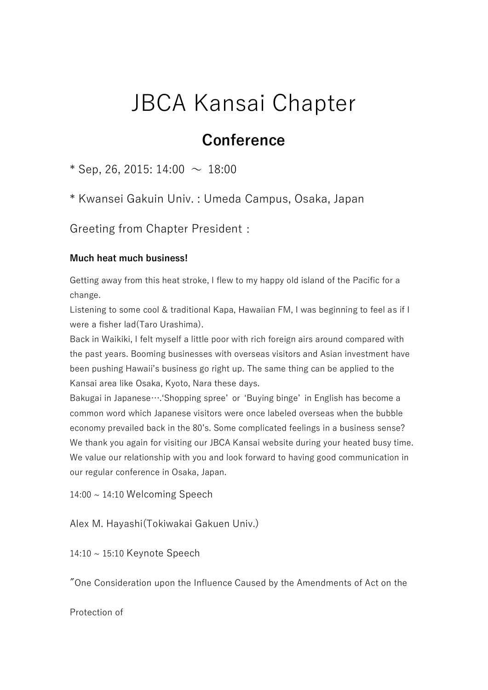## JBCA Kansai Chapter

## **Conference**

\* Sep, 26, 2015: 14:00  $\sim 18:00$ 

\* Kwansei Gakuin Univ. : Umeda Campus, Osaka, Japan

Greeting from Chapter President:

## **Much heat much business!**

Getting away from this heat stroke, I flew to my happy old island of the Pacific for a change.

Listening to some cool & traditional Kapa, Hawaiian FM, I was beginning to feel as if I were a fisher lad(Taro Urashima).

Back in Waikiki, I felt myself a little poor with rich foreign airs around compared with the past years. Booming businesses with overseas visitors and Asian investment have been pushing Hawaii's business go right up. The same thing can be applied to the Kansai area like Osaka, Kyoto, Nara these days.

Bakugai in Japanese….'Shopping spree' or 'Buying binge' in English has become a common word which Japanese visitors were once labeled overseas when the bubble economy prevailed back in the 80's. Some complicated feelings in a business sense? We thank you again for visiting our JBCA Kansai website during your heated busy time. We value our relationship with you and look forward to having good communication in our regular conference in Osaka, Japan.

 $14:00 \sim 14:10$  Welcoming Speech

Alex M. Hayashi(Tokiwakai Gakuen Univ.)

14:10 ~ 15:10 Keynote Speech

"One Consideration upon the Influence Caused by the Amendments of Act on the

Protection of